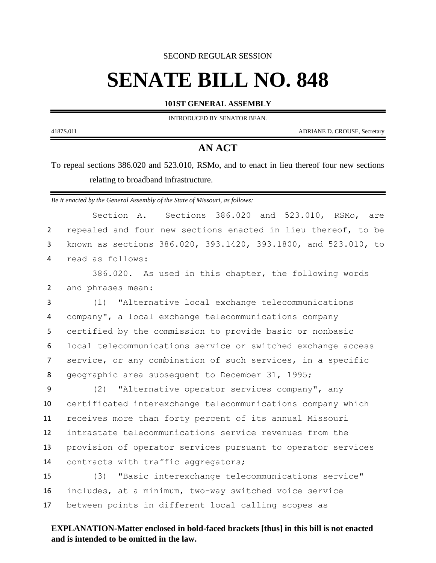SECOND REGULAR SESSION

# **SENATE BILL NO. 848**

**101ST GENERAL ASSEMBLY**

INTRODUCED BY SENATOR BEAN.

4187S.01I ADRIANE D. CROUSE, Secretary

٠

## **AN ACT**

To repeal sections 386.020 and 523.010, RSMo, and to enact in lieu thereof four new sections relating to broadband infrastructure.

*Be it enacted by the General Assembly of the State of Missouri, as follows:*

|                | Sections 386.020 and 523.010, RSMo, are<br>Section A.          |
|----------------|----------------------------------------------------------------|
| $\overline{2}$ | repealed and four new sections enacted in lieu thereof, to be  |
| 3              | known as sections 386.020, 393.1420, 393.1800, and 523.010, to |
| 4              | read as follows:                                               |
|                | 386.020. As used in this chapter, the following words          |
| $\overline{2}$ | and phrases mean:                                              |
| 3              | (1) "Alternative local exchange telecommunications             |
| 4              | company", a local exchange telecommunications company          |
| 5              | certified by the commission to provide basic or nonbasic       |
| 6              | local telecommunications service or switched exchange access   |
| $\overline{7}$ | service, or any combination of such services, in a specific    |
| 8              | geographic area subsequent to December 31, 1995;               |
| 9              | (2) "Alternative operator services company", any               |
| 10             | certificated interexchange telecommunications company which    |
| 11             | receives more than forty percent of its annual Missouri        |
| 12             | intrastate telecommunications service revenues from the        |
| 13             | provision of operator services pursuant to operator services   |
| 14             | contracts with traffic aggregators;                            |
| 15             | "Basic interexchange telecommunications service"<br>(3)        |
| 16             | includes, at a minimum, two-way switched voice service         |
| 17             | between points in different local calling scopes as            |
|                |                                                                |

## **EXPLANATION-Matter enclosed in bold-faced brackets [thus] in this bill is not enacted and is intended to be omitted in the law.**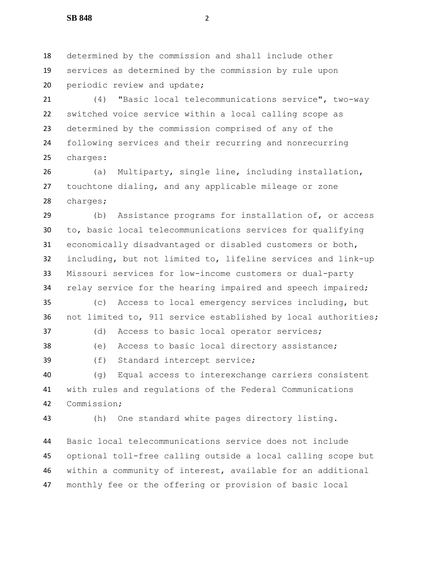determined by the commission and shall include other services as determined by the commission by rule upon 20 periodic review and update;

 (4) "Basic local telecommunications service", two-way switched voice service within a local calling scope as determined by the commission comprised of any of the following services and their recurring and nonrecurring charges:

 (a) Multiparty, single line, including installation, touchtone dialing, and any applicable mileage or zone charges;

 (b) Assistance programs for installation of, or access to, basic local telecommunications services for qualifying economically disadvantaged or disabled customers or both, including, but not limited to, lifeline services and link-up Missouri services for low-income customers or dual-party 34 relay service for the hearing impaired and speech impaired;

 (c) Access to local emergency services including, but not limited to, 911 service established by local authorities;

(d) Access to basic local operator services;

(e) Access to basic local directory assistance;

(f) Standard intercept service;

 (g) Equal access to interexchange carriers consistent with rules and regulations of the Federal Communications Commission;

(h) One standard white pages directory listing.

 Basic local telecommunications service does not include optional toll-free calling outside a local calling scope but within a community of interest, available for an additional monthly fee or the offering or provision of basic local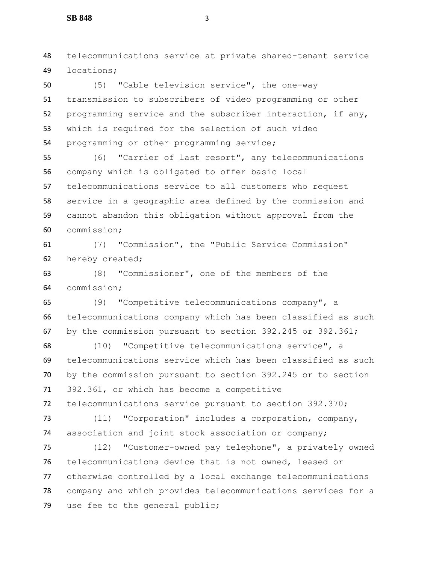telecommunications service at private shared-tenant service locations;

 (5) "Cable television service", the one-way transmission to subscribers of video programming or other programming service and the subscriber interaction, if any, which is required for the selection of such video programming or other programming service;

 (6) "Carrier of last resort", any telecommunications company which is obligated to offer basic local telecommunications service to all customers who request service in a geographic area defined by the commission and cannot abandon this obligation without approval from the commission;

 (7) "Commission", the "Public Service Commission" hereby created;

 (8) "Commissioner", one of the members of the commission;

 (9) "Competitive telecommunications company", a telecommunications company which has been classified as such by the commission pursuant to section 392.245 or 392.361;

 (10) "Competitive telecommunications service", a telecommunications service which has been classified as such by the commission pursuant to section 392.245 or to section 392.361, or which has become a competitive telecommunications service pursuant to section 392.370;

 (11) "Corporation" includes a corporation, company, association and joint stock association or company;

 (12) "Customer-owned pay telephone", a privately owned telecommunications device that is not owned, leased or otherwise controlled by a local exchange telecommunications company and which provides telecommunications services for a use fee to the general public;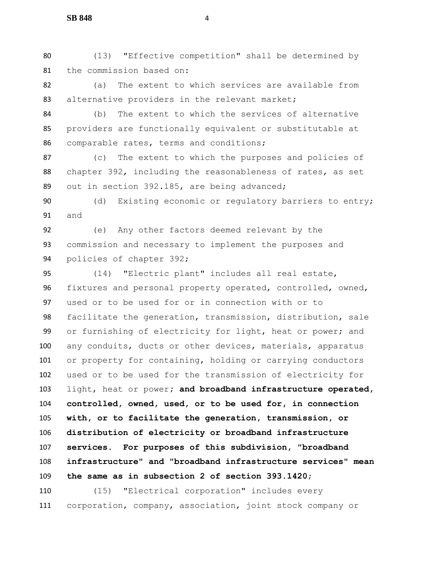(13) "Effective competition" shall be determined by the commission based on:

 (a) The extent to which services are available from 83 alternative providers in the relevant market;

 (b) The extent to which the services of alternative providers are functionally equivalent or substitutable at comparable rates, terms and conditions;

 (c) The extent to which the purposes and policies of chapter 392, including the reasonableness of rates, as set out in section 392.185, are being advanced;

 (d) Existing economic or regulatory barriers to entry; and

 (e) Any other factors deemed relevant by the commission and necessary to implement the purposes and policies of chapter 392;

 (14) "Electric plant" includes all real estate, fixtures and personal property operated, controlled, owned, used or to be used for or in connection with or to facilitate the generation, transmission, distribution, sale or furnishing of electricity for light, heat or power; and any conduits, ducts or other devices, materials, apparatus or property for containing, holding or carrying conductors used or to be used for the transmission of electricity for light, heat or power**; and broadband infrastructure operated, controlled, owned, used, or to be used for, in connection with, or to facilitate the generation, transmission, or distribution of electricity or broadband infrastructure services. For purposes of this subdivision, "broadband infrastructure" and "broadband infrastructure services" mean the same as in subsection 2 of section 393.1420**;

 (15) "Electrical corporation" includes every corporation, company, association, joint stock company or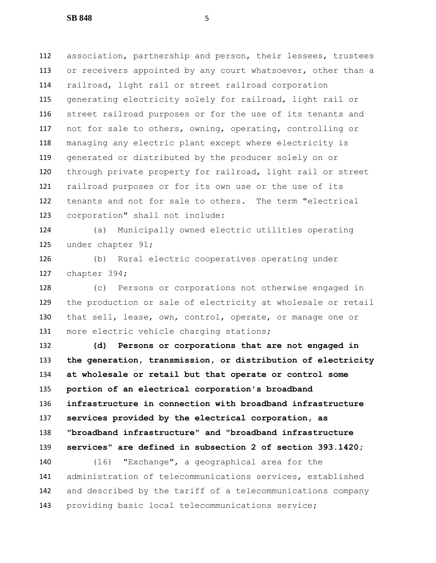association, partnership and person, their lessees, trustees 113 or receivers appointed by any court whatsoever, other than a railroad, light rail or street railroad corporation generating electricity solely for railroad, light rail or street railroad purposes or for the use of its tenants and not for sale to others, owning, operating, controlling or managing any electric plant except where electricity is generated or distributed by the producer solely on or through private property for railroad, light rail or street railroad purposes or for its own use or the use of its tenants and not for sale to others. The term "electrical corporation" shall not include:

 (a) Municipally owned electric utilities operating under chapter 91;

 (b) Rural electric cooperatives operating under chapter 394;

 (c) Persons or corporations not otherwise engaged in the production or sale of electricity at wholesale or retail that sell, lease, own, control, operate, or manage one or 131 more electric vehicle charging stations;

 **(d) Persons or corporations that are not engaged in the generation, transmission, or distribution of electricity at wholesale or retail but that operate or control some portion of an electrical corporation's broadband infrastructure in connection with broadband infrastructure services provided by the electrical corporation, as "broadband infrastructure" and "broadband infrastructure services" are defined in subsection 2 of section 393.1420;**

 (16) "Exchange", a geographical area for the administration of telecommunications services, established and described by the tariff of a telecommunications company providing basic local telecommunications service;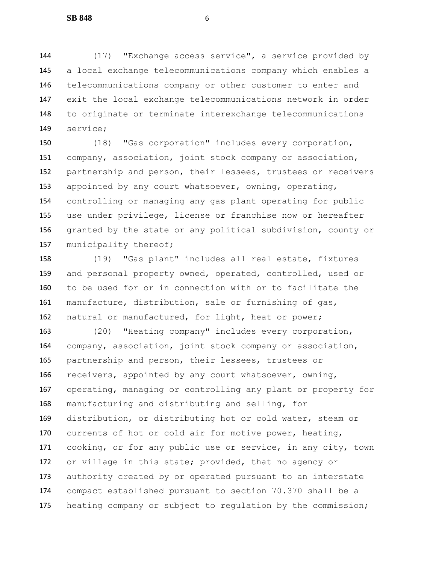(17) "Exchange access service", a service provided by a local exchange telecommunications company which enables a telecommunications company or other customer to enter and exit the local exchange telecommunications network in order to originate or terminate interexchange telecommunications service;

 (18) "Gas corporation" includes every corporation, company, association, joint stock company or association, partnership and person, their lessees, trustees or receivers appointed by any court whatsoever, owning, operating, controlling or managing any gas plant operating for public use under privilege, license or franchise now or hereafter granted by the state or any political subdivision, county or 157 municipality thereof;

 (19) "Gas plant" includes all real estate, fixtures and personal property owned, operated, controlled, used or to be used for or in connection with or to facilitate the manufacture, distribution, sale or furnishing of gas, 162 natural or manufactured, for light, heat or power;

 (20) "Heating company" includes every corporation, company, association, joint stock company or association, partnership and person, their lessees, trustees or receivers, appointed by any court whatsoever, owning, operating, managing or controlling any plant or property for manufacturing and distributing and selling, for distribution, or distributing hot or cold water, steam or currents of hot or cold air for motive power, heating, cooking, or for any public use or service, in any city, town or village in this state; provided, that no agency or 173 authority created by or operated pursuant to an interstate compact established pursuant to section 70.370 shall be a heating company or subject to regulation by the commission;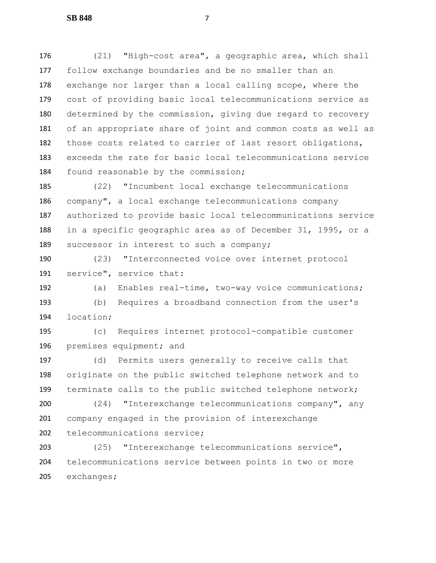(21) "High-cost area", a geographic area, which shall follow exchange boundaries and be no smaller than an exchange nor larger than a local calling scope, where the cost of providing basic local telecommunications service as determined by the commission, giving due regard to recovery of an appropriate share of joint and common costs as well as those costs related to carrier of last resort obligations, exceeds the rate for basic local telecommunications service found reasonable by the commission;

 (22) "Incumbent local exchange telecommunications company", a local exchange telecommunications company authorized to provide basic local telecommunications service in a specific geographic area as of December 31, 1995, or a 189 successor in interest to such a company;

 (23) "Interconnected voice over internet protocol service", service that:

 (a) Enables real-time, two-way voice communications; (b) Requires a broadband connection from the user's location;

 (c) Requires internet protocol-compatible customer premises equipment; and

 (d) Permits users generally to receive calls that originate on the public switched telephone network and to terminate calls to the public switched telephone network;

 (24) "Interexchange telecommunications company", any company engaged in the provision of interexchange 202 telecommunications service;

 (25) "Interexchange telecommunications service", telecommunications service between points in two or more exchanges;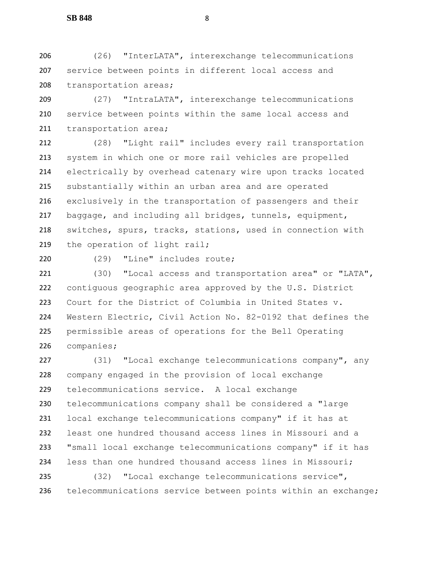(26) "InterLATA", interexchange telecommunications service between points in different local access and 208 transportation areas;

 (27) "IntraLATA", interexchange telecommunications service between points within the same local access and 211 transportation area;

 (28) "Light rail" includes every rail transportation system in which one or more rail vehicles are propelled electrically by overhead catenary wire upon tracks located substantially within an urban area and are operated exclusively in the transportation of passengers and their baggage, and including all bridges, tunnels, equipment, switches, spurs, tracks, stations, used in connection with 219 the operation of light rail;

(29) "Line" includes route;

 (30) "Local access and transportation area" or "LATA", contiguous geographic area approved by the U.S. District Court for the District of Columbia in United States v. Western Electric, Civil Action No. 82-0192 that defines the permissible areas of operations for the Bell Operating companies;

 (31) "Local exchange telecommunications company", any company engaged in the provision of local exchange telecommunications service. A local exchange telecommunications company shall be considered a "large local exchange telecommunications company" if it has at least one hundred thousand access lines in Missouri and a "small local exchange telecommunications company" if it has less than one hundred thousand access lines in Missouri;

 (32) "Local exchange telecommunications service", telecommunications service between points within an exchange;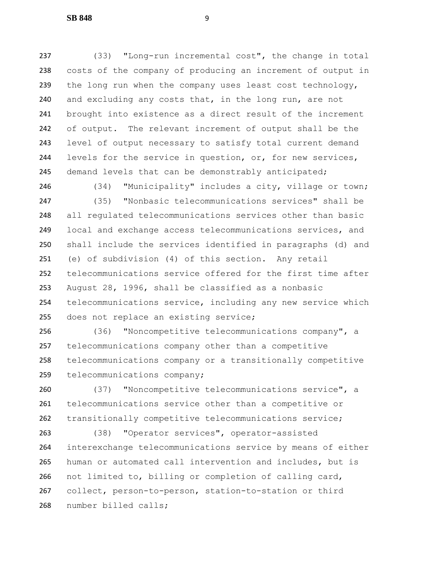(33) "Long-run incremental cost", the change in total costs of the company of producing an increment of output in 239 the long run when the company uses least cost technology, and excluding any costs that, in the long run, are not brought into existence as a direct result of the increment of output. The relevant increment of output shall be the level of output necessary to satisfy total current demand levels for the service in question, or, for new services, 245 demand levels that can be demonstrably anticipated;

 (34) "Municipality" includes a city, village or town; (35) "Nonbasic telecommunications services" shall be all regulated telecommunications services other than basic local and exchange access telecommunications services, and shall include the services identified in paragraphs (d) and (e) of subdivision (4) of this section. Any retail telecommunications service offered for the first time after August 28, 1996, shall be classified as a nonbasic telecommunications service, including any new service which 255 does not replace an existing service;

 (36) "Noncompetitive telecommunications company", a telecommunications company other than a competitive telecommunications company or a transitionally competitive telecommunications company;

 (37) "Noncompetitive telecommunications service", a telecommunications service other than a competitive or transitionally competitive telecommunications service;

 (38) "Operator services", operator-assisted interexchange telecommunications service by means of either human or automated call intervention and includes, but is not limited to, billing or completion of calling card, collect, person-to-person, station-to-station or third number billed calls;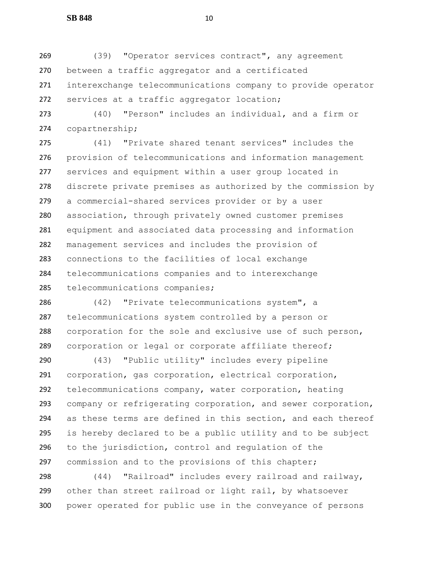(39) "Operator services contract", any agreement between a traffic aggregator and a certificated interexchange telecommunications company to provide operator services at a traffic aggregator location;

 (40) "Person" includes an individual, and a firm or copartnership;

 (41) "Private shared tenant services" includes the provision of telecommunications and information management services and equipment within a user group located in discrete private premises as authorized by the commission by a commercial-shared services provider or by a user association, through privately owned customer premises equipment and associated data processing and information management services and includes the provision of connections to the facilities of local exchange telecommunications companies and to interexchange telecommunications companies;

 (42) "Private telecommunications system", a telecommunications system controlled by a person or corporation for the sole and exclusive use of such person, 289 corporation or legal or corporate affiliate thereof;

 (43) "Public utility" includes every pipeline corporation, gas corporation, electrical corporation, telecommunications company, water corporation, heating company or refrigerating corporation, and sewer corporation, as these terms are defined in this section, and each thereof is hereby declared to be a public utility and to be subject to the jurisdiction, control and regulation of the commission and to the provisions of this chapter;

 (44) "Railroad" includes every railroad and railway, other than street railroad or light rail, by whatsoever power operated for public use in the conveyance of persons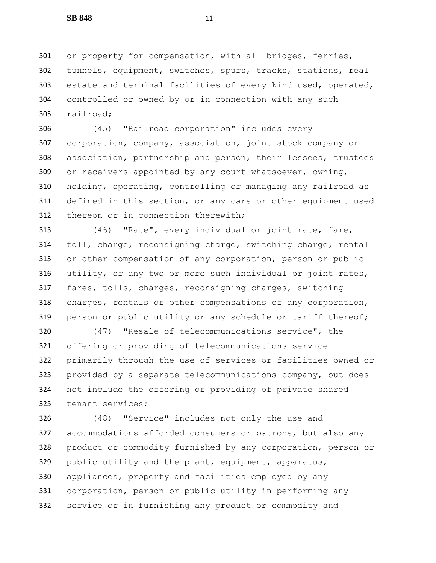or property for compensation, with all bridges, ferries, tunnels, equipment, switches, spurs, tracks, stations, real estate and terminal facilities of every kind used, operated, controlled or owned by or in connection with any such railroad;

 (45) "Railroad corporation" includes every corporation, company, association, joint stock company or association, partnership and person, their lessees, trustees or receivers appointed by any court whatsoever, owning, holding, operating, controlling or managing any railroad as defined in this section, or any cars or other equipment used 312 thereon or in connection therewith;

 (46) "Rate", every individual or joint rate, fare, toll, charge, reconsigning charge, switching charge, rental or other compensation of any corporation, person or public utility, or any two or more such individual or joint rates, fares, tolls, charges, reconsigning charges, switching charges, rentals or other compensations of any corporation, 319 person or public utility or any schedule or tariff thereof;

 (47) "Resale of telecommunications service", the offering or providing of telecommunications service primarily through the use of services or facilities owned or 323 provided by a separate telecommunications company, but does not include the offering or providing of private shared tenant services;

 (48) "Service" includes not only the use and accommodations afforded consumers or patrons, but also any product or commodity furnished by any corporation, person or public utility and the plant, equipment, apparatus, appliances, property and facilities employed by any corporation, person or public utility in performing any service or in furnishing any product or commodity and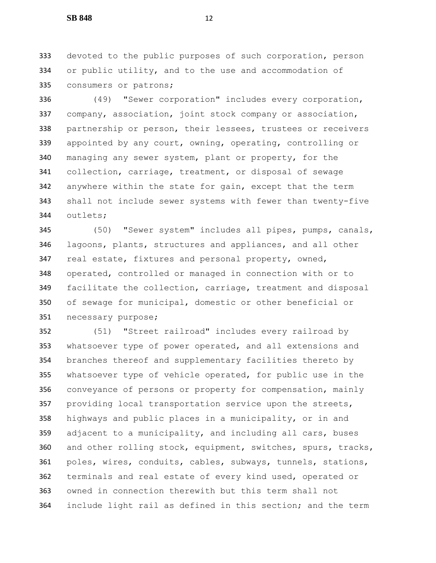devoted to the public purposes of such corporation, person or public utility, and to the use and accommodation of consumers or patrons;

 (49) "Sewer corporation" includes every corporation, company, association, joint stock company or association, partnership or person, their lessees, trustees or receivers appointed by any court, owning, operating, controlling or managing any sewer system, plant or property, for the collection, carriage, treatment, or disposal of sewage anywhere within the state for gain, except that the term shall not include sewer systems with fewer than twenty-five outlets;

 (50) "Sewer system" includes all pipes, pumps, canals, lagoons, plants, structures and appliances, and all other real estate, fixtures and personal property, owned, operated, controlled or managed in connection with or to facilitate the collection, carriage, treatment and disposal of sewage for municipal, domestic or other beneficial or necessary purpose;

 (51) "Street railroad" includes every railroad by whatsoever type of power operated, and all extensions and branches thereof and supplementary facilities thereto by whatsoever type of vehicle operated, for public use in the conveyance of persons or property for compensation, mainly providing local transportation service upon the streets, highways and public places in a municipality, or in and 359 adjacent to a municipality, and including all cars, buses 360 and other rolling stock, equipment, switches, spurs, tracks, poles, wires, conduits, cables, subways, tunnels, stations, terminals and real estate of every kind used, operated or owned in connection therewith but this term shall not include light rail as defined in this section; and the term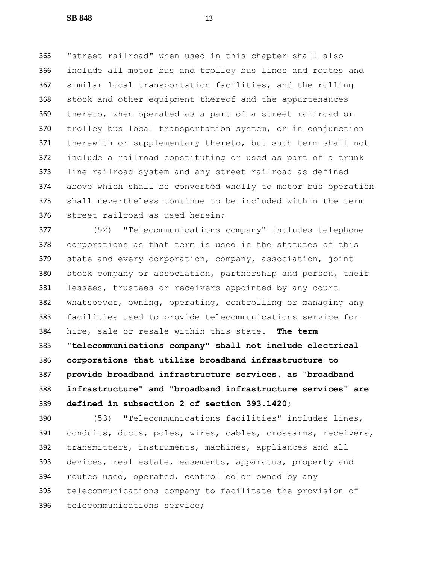"street railroad" when used in this chapter shall also include all motor bus and trolley bus lines and routes and similar local transportation facilities, and the rolling stock and other equipment thereof and the appurtenances thereto, when operated as a part of a street railroad or trolley bus local transportation system, or in conjunction 371 therewith or supplementary thereto, but such term shall not include a railroad constituting or used as part of a trunk line railroad system and any street railroad as defined above which shall be converted wholly to motor bus operation shall nevertheless continue to be included within the term street railroad as used herein;

 (52) "Telecommunications company" includes telephone corporations as that term is used in the statutes of this 379 state and every corporation, company, association, joint stock company or association, partnership and person, their lessees, trustees or receivers appointed by any court whatsoever, owning, operating, controlling or managing any facilities used to provide telecommunications service for hire, sale or resale within this state**. The term "telecommunications company" shall not include electrical corporations that utilize broadband infrastructure to provide broadband infrastructure services, as "broadband infrastructure" and "broadband infrastructure services" are defined in subsection 2 of section 393.1420**;

 (53) "Telecommunications facilities" includes lines, conduits, ducts, poles, wires, cables, crossarms, receivers, transmitters, instruments, machines, appliances and all devices, real estate, easements, apparatus, property and routes used, operated, controlled or owned by any telecommunications company to facilitate the provision of telecommunications service;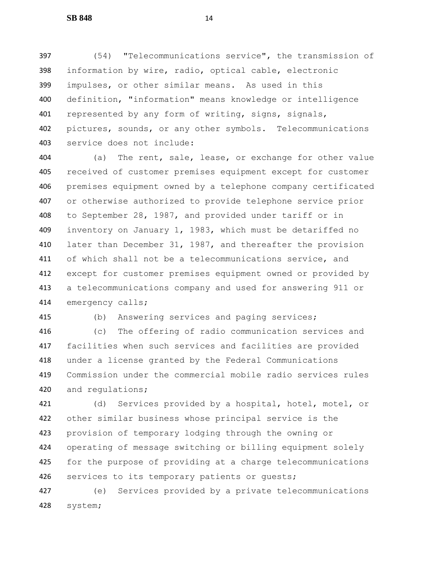(54) "Telecommunications service", the transmission of information by wire, radio, optical cable, electronic impulses, or other similar means. As used in this definition, "information" means knowledge or intelligence represented by any form of writing, signs, signals, pictures, sounds, or any other symbols. Telecommunications service does not include:

 (a) The rent, sale, lease, or exchange for other value received of customer premises equipment except for customer premises equipment owned by a telephone company certificated or otherwise authorized to provide telephone service prior to September 28, 1987, and provided under tariff or in inventory on January 1, 1983, which must be detariffed no 410 later than December 31, 1987, and thereafter the provision of which shall not be a telecommunications service, and except for customer premises equipment owned or provided by a telecommunications company and used for answering 911 or emergency calls;

(b) Answering services and paging services;

 (c) The offering of radio communication services and facilities when such services and facilities are provided under a license granted by the Federal Communications Commission under the commercial mobile radio services rules and regulations;

 (d) Services provided by a hospital, hotel, motel, or other similar business whose principal service is the provision of temporary lodging through the owning or operating of message switching or billing equipment solely for the purpose of providing at a charge telecommunications 426 services to its temporary patients or quests;

 (e) Services provided by a private telecommunications system;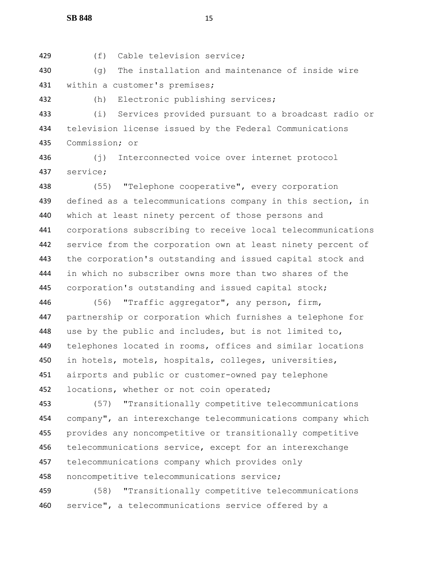(f) Cable television service;

 (g) The installation and maintenance of inside wire within a customer's premises;

(h) Electronic publishing services;

 (i) Services provided pursuant to a broadcast radio or television license issued by the Federal Communications Commission; or

 (j) Interconnected voice over internet protocol service;

 (55) "Telephone cooperative", every corporation defined as a telecommunications company in this section, in which at least ninety percent of those persons and corporations subscribing to receive local telecommunications service from the corporation own at least ninety percent of the corporation's outstanding and issued capital stock and in which no subscriber owns more than two shares of the corporation's outstanding and issued capital stock;

 (56) "Traffic aggregator", any person, firm, partnership or corporation which furnishes a telephone for use by the public and includes, but is not limited to, telephones located in rooms, offices and similar locations in hotels, motels, hospitals, colleges, universities, airports and public or customer-owned pay telephone 452 locations, whether or not coin operated;

 (57) "Transitionally competitive telecommunications company", an interexchange telecommunications company which provides any noncompetitive or transitionally competitive telecommunications service, except for an interexchange telecommunications company which provides only noncompetitive telecommunications service;

 (58) "Transitionally competitive telecommunications service", a telecommunications service offered by a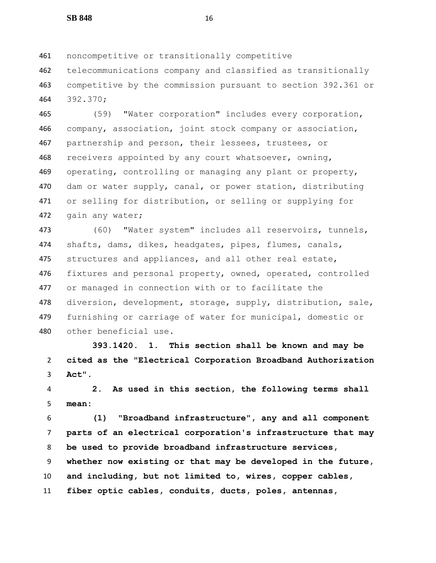noncompetitive or transitionally competitive

 telecommunications company and classified as transitionally competitive by the commission pursuant to section 392.361 or 392.370;

 (59) "Water corporation" includes every corporation, company, association, joint stock company or association, partnership and person, their lessees, trustees, or 468 receivers appointed by any court whatsoever, owning, operating, controlling or managing any plant or property, dam or water supply, canal, or power station, distributing or selling for distribution, or selling or supplying for gain any water;

 (60) "Water system" includes all reservoirs, tunnels, shafts, dams, dikes, headgates, pipes, flumes, canals, 475 structures and appliances, and all other real estate, 476 fixtures and personal property, owned, operated, controlled or managed in connection with or to facilitate the diversion, development, storage, supply, distribution, sale, furnishing or carriage of water for municipal, domestic or other beneficial use.

 **393.1420. 1. This section shall be known and may be cited as the "Electrical Corporation Broadband Authorization Act".**

 **2. As used in this section, the following terms shall mean:**

 **(1) "Broadband infrastructure", any and all component parts of an electrical corporation's infrastructure that may be used to provide broadband infrastructure services, whether now existing or that may be developed in the future, and including, but not limited to, wires, copper cables, fiber optic cables, conduits, ducts, poles, antennas,**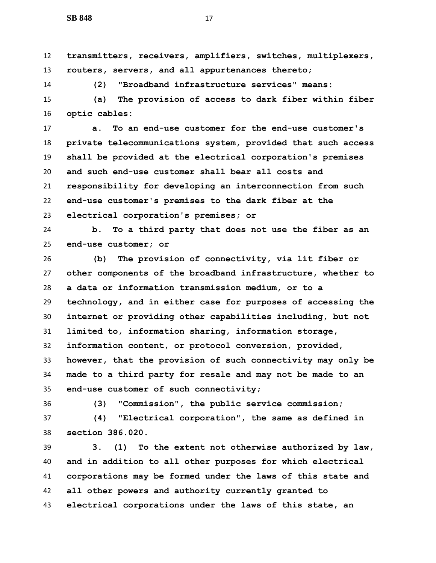**transmitters, receivers, amplifiers, switches, multiplexers, routers, servers, and all appurtenances thereto;**

**(2) "Broadband infrastructure services" means:**

 **(a) The provision of access to dark fiber within fiber optic cables:**

 **a. To an end-use customer for the end-use customer's private telecommunications system, provided that such access shall be provided at the electrical corporation's premises and such end-use customer shall bear all costs and responsibility for developing an interconnection from such end-use customer's premises to the dark fiber at the electrical corporation's premises; or**

 **b. To a third party that does not use the fiber as an end-use customer; or**

 **(b) The provision of connectivity, via lit fiber or other components of the broadband infrastructure, whether to a data or information transmission medium, or to a technology, and in either case for purposes of accessing the internet or providing other capabilities including, but not limited to, information sharing, information storage, information content, or protocol conversion, provided, however, that the provision of such connectivity may only be made to a third party for resale and may not be made to an end-use customer of such connectivity;**

**(3) "Commission", the public service commission;**

 **(4) "Electrical corporation", the same as defined in section 386.020.**

 **3. (1) To the extent not otherwise authorized by law, and in addition to all other purposes for which electrical corporations may be formed under the laws of this state and all other powers and authority currently granted to electrical corporations under the laws of this state, an**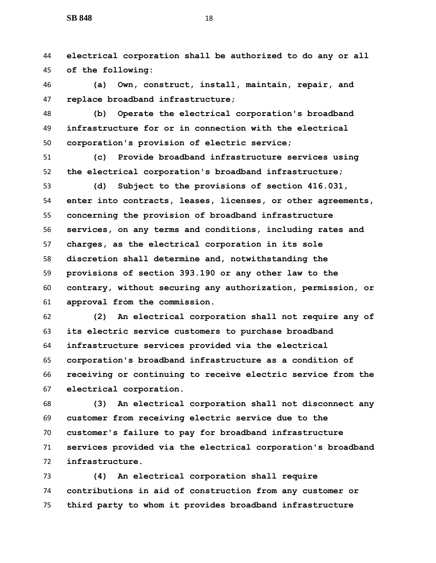**electrical corporation shall be authorized to do any or all of the following:**

 **(a) Own, construct, install, maintain, repair, and replace broadband infrastructure;**

 **(b) Operate the electrical corporation's broadband infrastructure for or in connection with the electrical corporation's provision of electric service;**

 **(c) Provide broadband infrastructure services using the electrical corporation's broadband infrastructure;**

 **(d) Subject to the provisions of section 416.031, enter into contracts, leases, licenses, or other agreements, concerning the provision of broadband infrastructure services, on any terms and conditions, including rates and charges, as the electrical corporation in its sole discretion shall determine and, notwithstanding the provisions of section 393.190 or any other law to the contrary, without securing any authorization, permission, or approval from the commission.**

 **(2) An electrical corporation shall not require any of its electric service customers to purchase broadband infrastructure services provided via the electrical corporation's broadband infrastructure as a condition of receiving or continuing to receive electric service from the electrical corporation.**

 **(3) An electrical corporation shall not disconnect any customer from receiving electric service due to the customer's failure to pay for broadband infrastructure services provided via the electrical corporation's broadband infrastructure.**

 **(4) An electrical corporation shall require contributions in aid of construction from any customer or third party to whom it provides broadband infrastructure**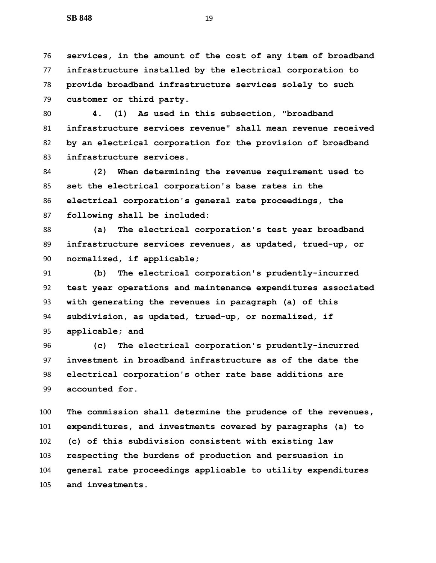**services, in the amount of the cost of any item of broadband infrastructure installed by the electrical corporation to provide broadband infrastructure services solely to such customer or third party.**

 **4. (1) As used in this subsection, "broadband infrastructure services revenue" shall mean revenue received by an electrical corporation for the provision of broadband infrastructure services.**

 **(2) When determining the revenue requirement used to set the electrical corporation's base rates in the electrical corporation's general rate proceedings, the following shall be included:**

 **(a) The electrical corporation's test year broadband infrastructure services revenues, as updated, trued-up, or normalized, if applicable;**

 **(b) The electrical corporation's prudently-incurred test year operations and maintenance expenditures associated with generating the revenues in paragraph (a) of this subdivision, as updated, trued-up, or normalized, if applicable; and**

 **(c) The electrical corporation's prudently-incurred investment in broadband infrastructure as of the date the electrical corporation's other rate base additions are accounted for.**

 **The commission shall determine the prudence of the revenues, expenditures, and investments covered by paragraphs (a) to (c) of this subdivision consistent with existing law respecting the burdens of production and persuasion in general rate proceedings applicable to utility expenditures and investments.**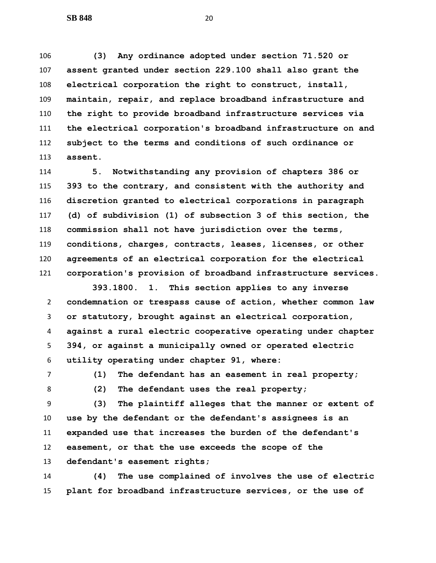**(3) Any ordinance adopted under section 71.520 or assent granted under section 229.100 shall also grant the electrical corporation the right to construct, install, maintain, repair, and replace broadband infrastructure and the right to provide broadband infrastructure services via the electrical corporation's broadband infrastructure on and subject to the terms and conditions of such ordinance or assent.**

 **5. Notwithstanding any provision of chapters 386 or 393 to the contrary, and consistent with the authority and discretion granted to electrical corporations in paragraph (d) of subdivision (1) of subsection 3 of this section, the commission shall not have jurisdiction over the terms, conditions, charges, contracts, leases, licenses, or other agreements of an electrical corporation for the electrical corporation's provision of broadband infrastructure services.**

 **393.1800. 1. This section applies to any inverse condemnation or trespass cause of action, whether common law or statutory, brought against an electrical corporation, against a rural electric cooperative operating under chapter 394, or against a municipally owned or operated electric utility operating under chapter 91, where:**

 **(1) The defendant has an easement in real property; (2) The defendant uses the real property;**

**(3) The plaintiff alleges that the manner or extent of** 

 **use by the defendant or the defendant's assignees is an expanded use that increases the burden of the defendant's easement, or that the use exceeds the scope of the defendant's easement rights;**

 **(4) The use complained of involves the use of electric plant for broadband infrastructure services, or the use of**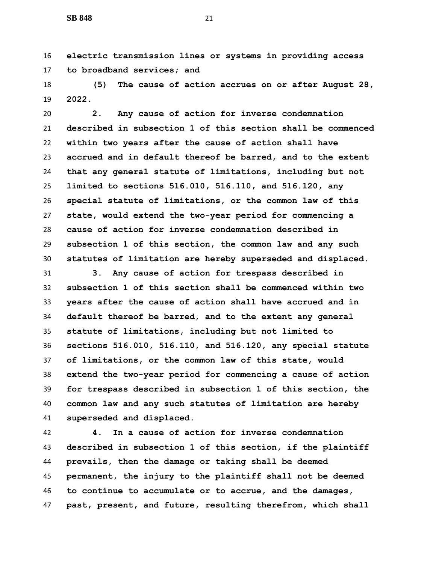**electric transmission lines or systems in providing access to broadband services; and**

 **(5) The cause of action accrues on or after August 28, 2022.**

 **2. Any cause of action for inverse condemnation described in subsection 1 of this section shall be commenced within two years after the cause of action shall have accrued and in default thereof be barred, and to the extent that any general statute of limitations, including but not limited to sections 516.010, 516.110, and 516.120, any special statute of limitations, or the common law of this state, would extend the two-year period for commencing a cause of action for inverse condemnation described in subsection 1 of this section, the common law and any such statutes of limitation are hereby superseded and displaced.**

 **3. Any cause of action for trespass described in subsection 1 of this section shall be commenced within two years after the cause of action shall have accrued and in default thereof be barred, and to the extent any general statute of limitations, including but not limited to sections 516.010, 516.110, and 516.120, any special statute of limitations, or the common law of this state, would extend the two-year period for commencing a cause of action for trespass described in subsection 1 of this section, the common law and any such statutes of limitation are hereby superseded and displaced.**

 **4. In a cause of action for inverse condemnation described in subsection 1 of this section, if the plaintiff prevails, then the damage or taking shall be deemed permanent, the injury to the plaintiff shall not be deemed to continue to accumulate or to accrue, and the damages, past, present, and future, resulting therefrom, which shall**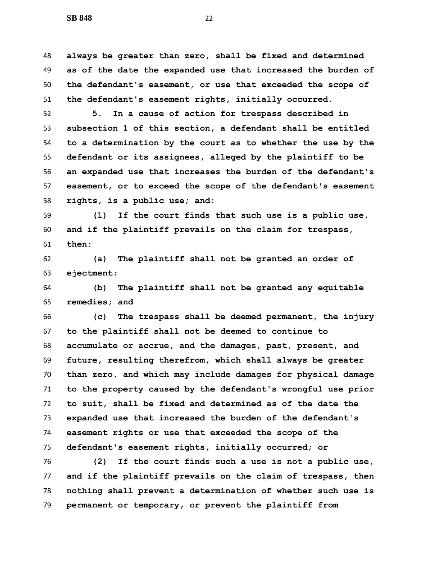**always be greater than zero, shall be fixed and determined as of the date the expanded use that increased the burden of the defendant's easement, or use that exceeded the scope of the defendant's easement rights, initially occurred.**

 **5. In a cause of action for trespass described in subsection 1 of this section, a defendant shall be entitled to a determination by the court as to whether the use by the defendant or its assignees, alleged by the plaintiff to be an expanded use that increases the burden of the defendant's easement, or to exceed the scope of the defendant's easement rights, is a public use; and:**

 **(1) If the court finds that such use is a public use, and if the plaintiff prevails on the claim for trespass, then:**

 **(a) The plaintiff shall not be granted an order of ejectment;**

 **(b) The plaintiff shall not be granted any equitable remedies; and**

 **(c) The trespass shall be deemed permanent, the injury to the plaintiff shall not be deemed to continue to accumulate or accrue, and the damages, past, present, and future, resulting therefrom, which shall always be greater than zero, and which may include damages for physical damage to the property caused by the defendant's wrongful use prior to suit, shall be fixed and determined as of the date the expanded use that increased the burden of the defendant's easement rights or use that exceeded the scope of the defendant's easement rights, initially occurred; or**

 **(2) If the court finds such a use is not a public use, and if the plaintiff prevails on the claim of trespass, then nothing shall prevent a determination of whether such use is permanent or temporary, or prevent the plaintiff from**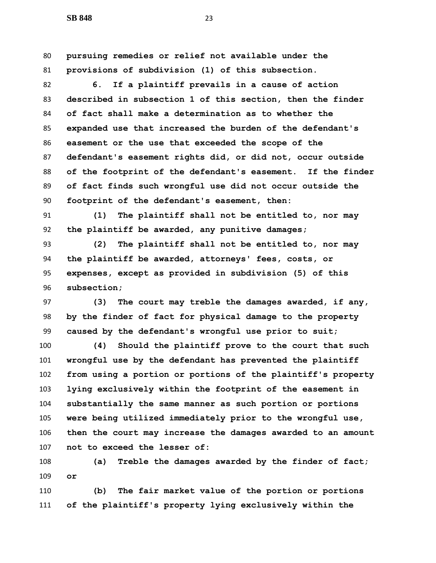**pursuing remedies or relief not available under the provisions of subdivision (1) of this subsection. 6. If a plaintiff prevails in a cause of action described in subsection 1 of this section, then the finder of fact shall make a determination as to whether the expanded use that increased the burden of the defendant's easement or the use that exceeded the scope of the defendant's easement rights did, or did not, occur outside of the footprint of the defendant's easement. If the finder of fact finds such wrongful use did not occur outside the footprint of the defendant's easement, then: (1) The plaintiff shall not be entitled to, nor may the plaintiff be awarded, any punitive damages; (2) The plaintiff shall not be entitled to, nor may** 

 **the plaintiff be awarded, attorneys' fees, costs, or expenses, except as provided in subdivision (5) of this subsection;**

 **(3) The court may treble the damages awarded, if any, by the finder of fact for physical damage to the property caused by the defendant's wrongful use prior to suit;**

 **(4) Should the plaintiff prove to the court that such wrongful use by the defendant has prevented the plaintiff from using a portion or portions of the plaintiff's property lying exclusively within the footprint of the easement in substantially the same manner as such portion or portions were being utilized immediately prior to the wrongful use, then the court may increase the damages awarded to an amount not to exceed the lesser of:**

 **(a) Treble the damages awarded by the finder of fact; or**

 **(b) The fair market value of the portion or portions of the plaintiff's property lying exclusively within the**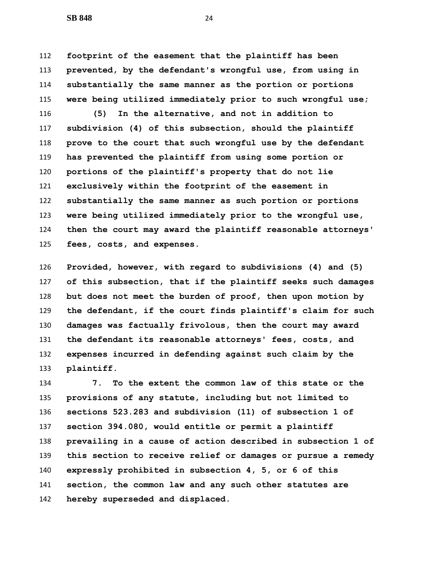**footprint of the easement that the plaintiff has been prevented, by the defendant's wrongful use, from using in substantially the same manner as the portion or portions were being utilized immediately prior to such wrongful use;**

 **(5) In the alternative, and not in addition to subdivision (4) of this subsection, should the plaintiff prove to the court that such wrongful use by the defendant has prevented the plaintiff from using some portion or portions of the plaintiff's property that do not lie exclusively within the footprint of the easement in substantially the same manner as such portion or portions were being utilized immediately prior to the wrongful use, then the court may award the plaintiff reasonable attorneys' fees, costs, and expenses.**

 **Provided, however, with regard to subdivisions (4) and (5) of this subsection, that if the plaintiff seeks such damages but does not meet the burden of proof, then upon motion by the defendant, if the court finds plaintiff's claim for such damages was factually frivolous, then the court may award the defendant its reasonable attorneys' fees, costs, and expenses incurred in defending against such claim by the plaintiff.**

 **7. To the extent the common law of this state or the provisions of any statute, including but not limited to sections 523.283 and subdivision (11) of subsection 1 of section 394.080, would entitle or permit a plaintiff prevailing in a cause of action described in subsection 1 of this section to receive relief or damages or pursue a remedy expressly prohibited in subsection 4, 5, or 6 of this section, the common law and any such other statutes are hereby superseded and displaced.**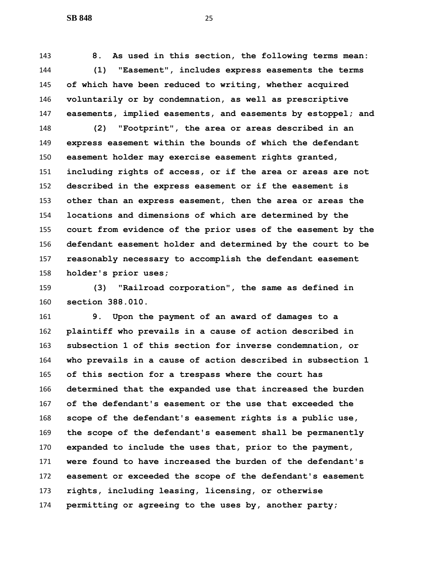**8. As used in this section, the following terms mean: (1) "Easement", includes express easements the terms of which have been reduced to writing, whether acquired voluntarily or by condemnation, as well as prescriptive easements, implied easements, and easements by estoppel; and**

 **(2) "Footprint", the area or areas described in an express easement within the bounds of which the defendant easement holder may exercise easement rights granted, including rights of access, or if the area or areas are not described in the express easement or if the easement is other than an express easement, then the area or areas the locations and dimensions of which are determined by the court from evidence of the prior uses of the easement by the defendant easement holder and determined by the court to be reasonably necessary to accomplish the defendant easement holder's prior uses;**

 **(3) "Railroad corporation", the same as defined in section 388.010.**

 **9. Upon the payment of an award of damages to a plaintiff who prevails in a cause of action described in subsection 1 of this section for inverse condemnation, or who prevails in a cause of action described in subsection 1 of this section for a trespass where the court has determined that the expanded use that increased the burden of the defendant's easement or the use that exceeded the scope of the defendant's easement rights is a public use, the scope of the defendant's easement shall be permanently expanded to include the uses that, prior to the payment, were found to have increased the burden of the defendant's easement or exceeded the scope of the defendant's easement rights, including leasing, licensing, or otherwise permitting or agreeing to the uses by, another party;**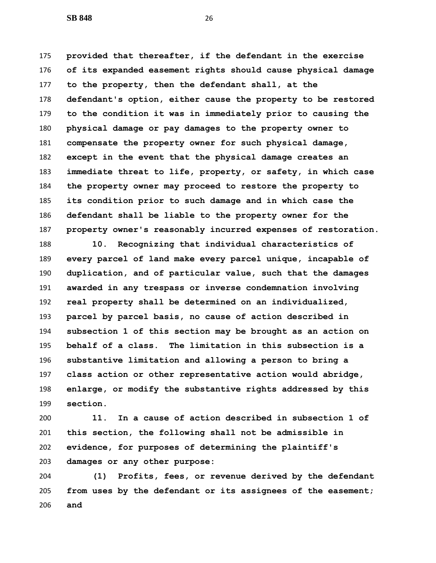**provided that thereafter, if the defendant in the exercise of its expanded easement rights should cause physical damage to the property, then the defendant shall, at the defendant's option, either cause the property to be restored to the condition it was in immediately prior to causing the physical damage or pay damages to the property owner to compensate the property owner for such physical damage, except in the event that the physical damage creates an immediate threat to life, property, or safety, in which case the property owner may proceed to restore the property to its condition prior to such damage and in which case the defendant shall be liable to the property owner for the property owner's reasonably incurred expenses of restoration.**

 **10. Recognizing that individual characteristics of every parcel of land make every parcel unique, incapable of duplication, and of particular value, such that the damages awarded in any trespass or inverse condemnation involving real property shall be determined on an individualized, parcel by parcel basis, no cause of action described in subsection 1 of this section may be brought as an action on behalf of a class. The limitation in this subsection is a substantive limitation and allowing a person to bring a class action or other representative action would abridge, enlarge, or modify the substantive rights addressed by this section.**

 **11. In a cause of action described in subsection 1 of this section, the following shall not be admissible in evidence, for purposes of determining the plaintiff's damages or any other purpose:**

 **(1) Profits, fees, or revenue derived by the defendant from uses by the defendant or its assignees of the easement; and**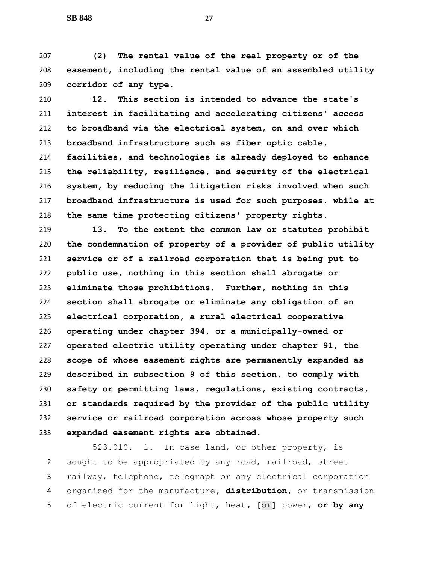**(2) The rental value of the real property or of the easement, including the rental value of an assembled utility corridor of any type.**

 **12. This section is intended to advance the state's interest in facilitating and accelerating citizens' access to broadband via the electrical system, on and over which broadband infrastructure such as fiber optic cable, facilities, and technologies is already deployed to enhance the reliability, resilience, and security of the electrical system, by reducing the litigation risks involved when such broadband infrastructure is used for such purposes, while at the same time protecting citizens' property rights.**

 **13. To the extent the common law or statutes prohibit the condemnation of property of a provider of public utility service or of a railroad corporation that is being put to public use, nothing in this section shall abrogate or eliminate those prohibitions. Further, nothing in this section shall abrogate or eliminate any obligation of an electrical corporation, a rural electrical cooperative operating under chapter 394, or a municipally-owned or operated electric utility operating under chapter 91, the scope of whose easement rights are permanently expanded as described in subsection 9 of this section, to comply with safety or permitting laws, regulations, existing contracts, or standards required by the provider of the public utility service or railroad corporation across whose property such expanded easement rights are obtained.**

 $523.010.$  1. In case land, or other property, is sought to be appropriated by any road, railroad, street railway, telephone, telegraph or any electrical corporation organized for the manufacture**, distribution,** or transmission of electric current for light, heat**, [**or**]** power, **or by any**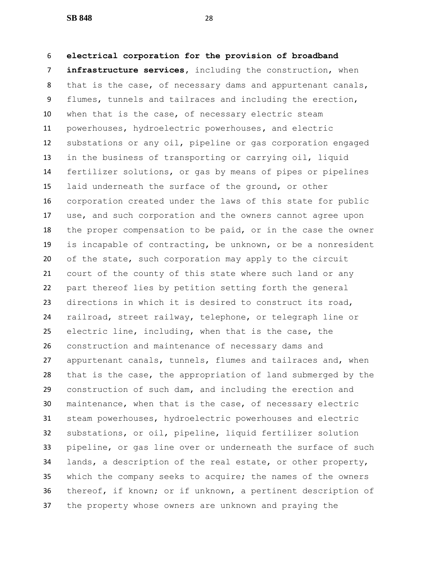**electrical corporation for the provision of broadband infrastructure services,** including the construction, when that is the case, of necessary dams and appurtenant canals, flumes, tunnels and tailraces and including the erection, when that is the case, of necessary electric steam powerhouses, hydroelectric powerhouses**,** and electric substations or any oil, pipeline or gas corporation engaged in the business of transporting or carrying oil, liquid fertilizer solutions, or gas by means of pipes or pipelines laid underneath the surface of the ground, or other corporation created under the laws of this state for public use, and such corporation and the owners cannot agree upon the proper compensation to be paid, or in the case the owner is incapable of contracting, be unknown, or be a nonresident of the state, such corporation may apply to the circuit court of the county of this state where such land or any part thereof lies by petition setting forth the general directions in which it is desired to construct its road, railroad, street railway, telephone, or telegraph line or electric line, including, when that is the case, the construction and maintenance of necessary dams and appurtenant canals, tunnels, flumes and tailraces and, when that is the case, the appropriation of land submerged by the construction of such dam, and including the erection and maintenance, when that is the case, of necessary electric steam powerhouses, hydroelectric powerhouses and electric substations, or oil, pipeline, liquid fertilizer solution pipeline, or gas line over or underneath the surface of such lands, a description of the real estate, or other property, which the company seeks to acquire; the names of the owners thereof, if known; or if unknown, a pertinent description of the property whose owners are unknown and praying the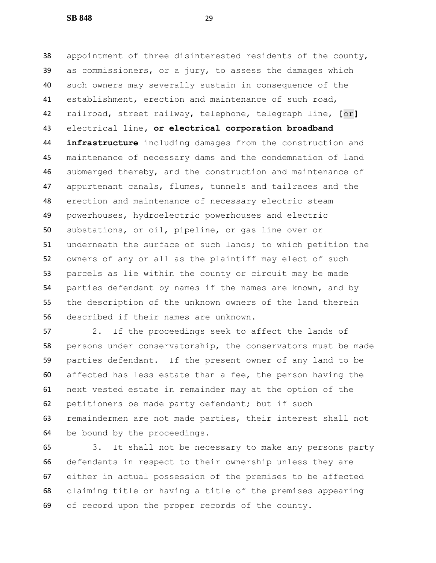appointment of three disinterested residents of the county, as commissioners, or a jury, to assess the damages which such owners may severally sustain in consequence of the establishment, erection and maintenance of such road, railroad, street railway, telephone, telegraph line, **[**or**]** electrical line**, or electrical corporation broadband infrastructure** including damages from the construction and maintenance of necessary dams and the condemnation of land submerged thereby, and the construction and maintenance of appurtenant canals, flumes, tunnels and tailraces and the erection and maintenance of necessary electric steam powerhouses, hydroelectric powerhouses and electric substations, or oil, pipeline, or gas line over or underneath the surface of such lands; to which petition the owners of any or all as the plaintiff may elect of such parcels as lie within the county or circuit may be made parties defendant by names if the names are known, and by the description of the unknown owners of the land therein described if their names are unknown.

 2. If the proceedings seek to affect the lands of persons under conservatorship, the conservators must be made parties defendant. If the present owner of any land to be affected has less estate than a fee, the person having the next vested estate in remainder may at the option of the petitioners be made party defendant; but if such remaindermen are not made parties, their interest shall not be bound by the proceedings.

 3. It shall not be necessary to make any persons party defendants in respect to their ownership unless they are either in actual possession of the premises to be affected claiming title or having a title of the premises appearing of record upon the proper records of the county.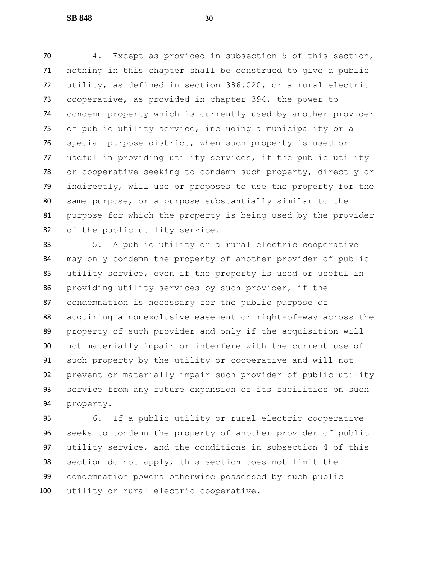4. Except as provided in subsection 5 of this section, nothing in this chapter shall be construed to give a public utility, as defined in section 386.020, or a rural electric cooperative, as provided in chapter 394, the power to condemn property which is currently used by another provider of public utility service, including a municipality or a special purpose district, when such property is used or useful in providing utility services, if the public utility or cooperative seeking to condemn such property, directly or indirectly, will use or proposes to use the property for the same purpose, or a purpose substantially similar to the purpose for which the property is being used by the provider of the public utility service.

 5. A public utility or a rural electric cooperative may only condemn the property of another provider of public utility service, even if the property is used or useful in providing utility services by such provider, if the condemnation is necessary for the public purpose of acquiring a nonexclusive easement or right-of-way across the property of such provider and only if the acquisition will not materially impair or interfere with the current use of such property by the utility or cooperative and will not prevent or materially impair such provider of public utility service from any future expansion of its facilities on such property.

 6. If a public utility or rural electric cooperative seeks to condemn the property of another provider of public utility service, and the conditions in subsection 4 of this section do not apply, this section does not limit the condemnation powers otherwise possessed by such public utility or rural electric cooperative.